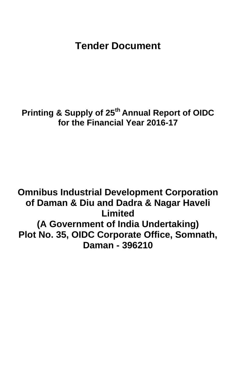# **Tender Document**

# **Printing & Supply of 25th Annual Report of OIDC for the Financial Year 2016-17**

**Omnibus Industrial Development Corporation of Daman & Diu and Dadra & Nagar Haveli Limited (A Government of India Undertaking) Plot No. 35, OIDC Corporate Office, Somnath, Daman - 396210**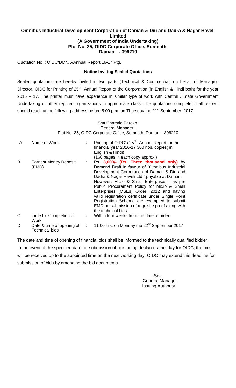#### **Omnibus Industrial Development Corporation of Daman & Diu and Dadra & Nagar Haveli Limited (A Government of India Undertaking) Plot No. 35, OIDC Corporate Office, Somnath, Daman - 396210**

Quotation No. : OIDC/DMN/6/Annual Report/16-17 Ptg.

#### **Notice Inviting Sealed Quotations**

Sealed quotations are hereby invited in two parts (Technical & Commercial) on behalf of Managing Director, OIDC for Printing of 25<sup>th</sup> Annual Report of the Corporation (in English & Hindi both) for the year 2016 – 17. The printer must have experience in similar type of work with Central / State Government Undertaking or other reputed organizations in appropriate class. The quotations complete in all respect should reach at the following address before 5:00 p.m. on Thursday the 21<sup>st</sup> September, 2017:

> Smt Charmie Parekh, General Manager , Plot No. 35, OIDC Corporate Office, Somnath, Daman – 396210

| A            | Name of Work                                       |              | Printing of OIDC's 25 <sup>th</sup> Annual Report for the<br>financial year 2016-17 300 nos. copies(in<br>English & Hindi)<br>(160 pages in each copy approx.)                                                                                                                                                                                                                                                                                                                                                  |
|--------------|----------------------------------------------------|--------------|-----------------------------------------------------------------------------------------------------------------------------------------------------------------------------------------------------------------------------------------------------------------------------------------------------------------------------------------------------------------------------------------------------------------------------------------------------------------------------------------------------------------|
| B            | <b>Earnest Money Deposit</b><br>(EMD)              | ÷.           | Rs. 3,000/- (Rs. Three thousand only) by<br>Demand Draft in favour of "Omnibus Industrial<br>Development Corporation of Daman & Diu and<br>Dadra & Nagar Haveli Ltd." payable at Daman.<br>However, Micro & Small Enterprises - as per<br>Public Procurement Policy for Micro & Small<br>Enterprises (MSEs) Order, 2012 and having<br>valid registration certificate under Single Point<br>Registration Scheme are exempted to submit<br>EMD on submission of requisite proof along with<br>the technical bids. |
| $\mathsf{C}$ | Time for Completion of<br>Work                     | $\mathbf{L}$ | Within four weeks from the date of order.                                                                                                                                                                                                                                                                                                                                                                                                                                                                       |
| D            | Date & time of opening of<br><b>Technical bids</b> | ÷            | 11.00 hrs. on Monday the 22 <sup>nd</sup> September, 2017                                                                                                                                                                                                                                                                                                                                                                                                                                                       |

The date and time of opening of financial bids shall be informed to the technically qualified bidder. In the event of the specified date for submission of bids being declared a holiday for OIDC, the bids will be received up to the appointed time on the next working day. OIDC may extend this deadline for submission of bids by amending the bid documents.

 -Sd- General Manager Issuing Authority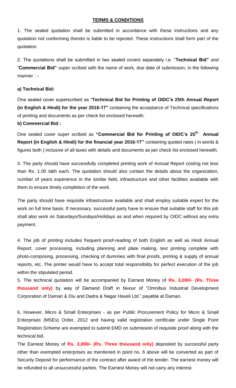#### **TERMS & CONDITIONS**

1. The sealed quotation shall be submitted in accordance with these instructions and any quotation not conforming thereto is liable to be rejected. These instructions shall form part of the quotation.

2. The quotations shall be submitted in two sealed covers separately i.e. "**Technical Bid"** and "**Commercial Bid"** super scribed with the name of work, due date of submission, in the following manner : -

#### **a) Technical Bid:**

One sealed cover superscribed as "**Technical Bid for Printing of OIDC's 25th Annual Report (in English & Hindi) for the year 2016-17"** containing the acceptance of Technical specifications of printing and documents as per check list enclosed herewith.

#### **b) Commercial Bid :**

One sealed cover super scribed as **"Commercial Bid for Printing of OIDC's 25th Annual Report (in English & Hindi) for the financial year 2016-17"** containing quoted rates ( in words & figures both ) inclusive of all taxes with details and documents as per check list enclosed herewith.

3. The party should have successfully completed printing work of Annual Report costing not less than Rs. 1.00 lakh each. The quotation should also contain the details about the organization, number of years experience in the similar field, infrastructure and other facilities available with them to ensure timely completion of the work.

The party should have requisite infrastructure available and shall employ suitable expert for the work on full time basis. If necessary, successful party have to ensure that suitable staff for this job shall also work on Saturdays/Sundays/Holidays as and when required by OIDC without any extra payment.

4. The job of printing includes frequent proof-reading of both English as well as Hindi Annual Report, cover processing, including planning and plate making, text printing complete with photo-composing, processing, checking of dummies with final proofs, printing & supply of annual reports, etc. The printer would have to accept total responsibility for perfect execution of the job within the stipulated period.

5. The technical quotation will be accompanied by Earnest Money of **Rs. 3,000/- (Rs. Three thousand only)** by way of Demand Draft in favour of "Omnibus Industrial Development Corporation of Daman & Diu and Dadra & Nagar Haveli Ltd." payable at Daman.

6. However, Micro & Small Enterprises - as per Public Procurement Policy for Micro & Small Enterprises (MSEs) Order, 2012 and having valid registration certificate under Single Point Registration Scheme are exempted to submit EMD on submission of requisite proof along with the technical bid.

The Earnest Money of **Rs. 3,000/- (Rs. Three thousand only)** deposited by successful party other than exempted enterprises as mentioned in point no. 6 above will be converted as part of Security Deposit for performance of the contract after award of the tender. The earnest money will be refunded to all unsuccessful parties. The Earnest Money will not carry any interest.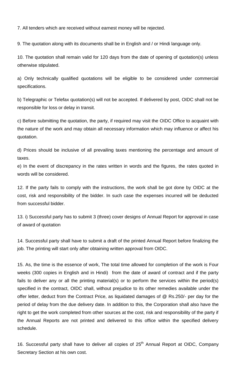7. All tenders which are received without earnest money will be rejected.

9. The quotation along with its documents shall be in English and / or Hindi language only.

10. The quotation shall remain valid for 120 days from the date of opening of quotation(s) unless otherwise stipulated.

a) Only technically qualified quotations will be eligible to be considered under commercial specifications.

b) Telegraphic or Telefax quotation(s) will not be accepted. If delivered by post, OIDC shall not be responsible for loss or delay in transit.

c) Before submitting the quotation, the party, if required may visit the OIDC Office to acquaint with the nature of the work and may obtain all necessary information which may influence or affect his quotation.

d) Prices should be inclusive of all prevailing taxes mentioning the percentage and amount of taxes.

e) In the event of discrepancy in the rates written in words and the figures, the rates quoted in words will be considered.

12. If the party fails to comply with the instructions, the work shall be got done by OIDC at the cost, risk and responsibility of the bidder. In such case the expenses incurred will be deducted from successful bidder.

13. i) Successful party has to submit 3 (three) cover designs of Annual Report for approval in case of award of quotation

14. Successful party shall have to submit a draft of the printed Annual Report before finalizing the job. The printing will start only after obtaining written approval from OIDC.

15. As, the time is the essence of work, The total time allowed for completion of the work is Four weeks (300 copies in English and in Hindi) from the date of award of contract and if the party fails to deliver any or all the printing material(s) or to perform the services within the period(s) specified in the contract, OIDC shall, without prejudice to its other remedies available under the offer letter, deduct from the Contract Price, as liquidated damages of @ Rs.250/- per day for the period of delay from the due delivery date. In addition to this, the Corporation shall also have the right to get the work completed from other sources at the cost, risk and responsibility of the party if the Annual Reports are not printed and delivered to this office within the specified delivery schedule.

16. Successful party shall have to deliver all copies of  $25<sup>th</sup>$  Annual Report at OIDC, Company Secretary Section at his own cost.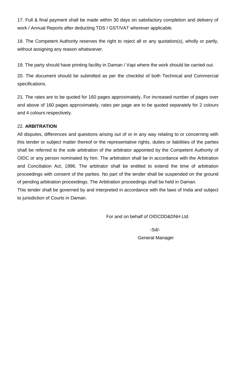17. Full & final payment shall be made within 30 days on satisfactory completion and delivery of work / Annual Reports after deducting TDS / GST/VAT wherever applicable.

18. The Competent Authority reserves the right to reject all or any quotation(s), wholly or partly, without assigning any reason whatsoever.

19. The party should have printing facility in Daman / Vapi where the work should be carried out.

20. The document should be submitted as per the checklist of both Technical and Commercial specifications.

21. The rates are to be quoted for 160 pages approximately**.** For increased number of pages over and above of 160 pages approximately, rates per page are to be quoted separately for 2 colours and 4 colours respectively.

## 22. **ARBITRATION**

All disputes, differences and questions arising out of or in any way relating to or concerning with this tender or subject matter thereof or the representative rights, duties or liabilities of the parties shall be referred to the sole arbitration of the arbitrator appointed by the Competent Authority of OIDC or any person nominated by him. The arbitration shall be in accordance with the Arbitration and Conciliation Act, 1996. The arbitrator shall be entitled to extend the time of arbitration proceedings with consent of the parties. No part of the tender shall be suspended on the ground of pending arbitration proceedings. The Arbitration proceedings shall be held in Daman.

This tender shall be governed by and interpreted in accordance with the laws of India and subject to jurisdiction of Courts in Daman.

For and on behalf of OIDCDD&DNH Ltd.

 -Sd/- General Manager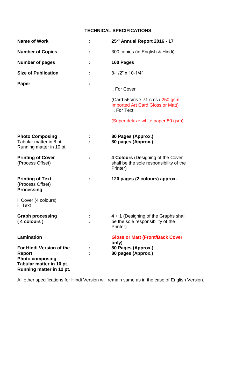## **TECHNICAL SPECIFICATIONS**

| <b>Name of Work</b>                                                                                                                              | 25 <sup>th</sup> Annual Report 2016 - 17                                                    |
|--------------------------------------------------------------------------------------------------------------------------------------------------|---------------------------------------------------------------------------------------------|
| <b>Number of Copies</b>                                                                                                                          | 300 copies (in English & Hindi)                                                             |
| <b>Number of pages</b>                                                                                                                           | 160 Pages                                                                                   |
| <b>Size of Publication</b>                                                                                                                       | 8-1/2" x 10-1/4"                                                                            |
| Paper                                                                                                                                            | i. For Cover                                                                                |
|                                                                                                                                                  | (Card 56cms x 71 cms $/$ 250 gsm<br><b>Imported Art Card Gloss or Matt)</b><br>ii. For Text |
|                                                                                                                                                  | (Super deluxe white paper 80 gsm)                                                           |
| <b>Photo Composing</b><br>Tabular matter in 8 pt.<br>Running matter in 10 pt.                                                                    | 80 Pages (Approx.)<br>80 pages (Approx.)                                                    |
| <b>Printing of Cover</b><br>(Process Offset)                                                                                                     | 4 Colours (Designing of the Cover<br>shall be the sole responsibility of the<br>Printer)    |
| <b>Printing of Text</b><br>(Process Offset)<br><b>Processing</b>                                                                                 | 120 pages (2 colours) approx.                                                               |
| i. Cover (4 colours)<br>ii. Text                                                                                                                 |                                                                                             |
| <b>Graph processing</b><br>(4 colours )                                                                                                          | 4 + 1 (Designing of the Graphs shall<br>be the sole responsibility of the<br>Printer)       |
| <b>Lamination</b><br>For Hindi Version of the<br>Report<br><b>Photo composing</b><br>Tabular matter in 10 pt.<br><b>Running matter in 12 pt.</b> | <b>Gloss or Matt (Front/Back Cover</b><br>only)<br>80 Pages (Approx.)<br>80 pages (Approx.) |

All other specifications for Hindi Version will remain same as in the case of English Version.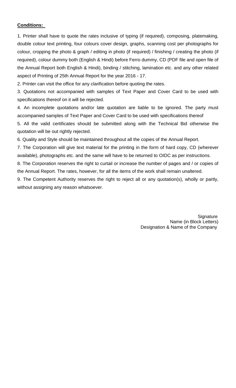### **Conditions:**

1. Printer shall have to quote the rates inclusive of typing (if required), composing, platemaking, double colour text printing, four colours cover design, graphs, scanning cost per photographs for colour, cropping the photo & graph / editing in photo (if required) / finishing / creating the photo (if required), colour dummy both (English & Hindi) before Ferro dummy, CD (PDF file and open file of the Annual Report both English & Hindi), binding / stitching, lamination etc. and any other related aspect of Printing of 25th Annual Report for the year 2016 - 17.

2. Printer can visit the office for any clarification before quoting the rates.

3. Quotations not accompanied with samples of Text Paper and Cover Card to be used with specifications thereof on it will be rejected.

4. An incomplete quotations and/or late quotation are liable to be ignored. The party must accompanied samples of Text Paper and Cover Card to be used with specifications thereof

5. All the valid certificates should be submitted along with the Technical Bid otherwise the quotation will be out rightly rejected.

6. Quality and Style should be maintained throughout all the copies of the Annual Report.

7. The Corporation will give text material for the printing in the form of hard copy, CD (wherever available), photographs etc. and the same will have to be returned to OIDC as per instructions.

8. The Corporation reserves the right to curtail or increase the number of pages and / or copies of the Annual Report. The rates, however, for all the items of the work shall remain unaltered.

9. The Competent Authority reserves the right to reject all or any quotation(s), wholly or partly, without assigning any reason whatsoever.

> **Signature** Name (in Block Letters) Designation & Name of the Company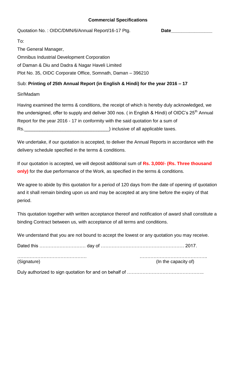## **Commercial Specifications**

Quotation No.: OIDC/DMN/6/Annual Report/16-17 Ptg. **Date\_** 

To:

The General Manager, Omnibus Industrial Development Corporation of Daman & Diu and Dadra & Nagar Haveli Limited Plot No. 35, OIDC Corporate Office, Somnath, Daman – 396210

## Sub: **Printing of 25th Annual Report (in English & Hindi) for the year 2016 – 17**

Sir/Madam

Having examined the terms & conditions, the receipt of which is hereby duly acknowledged, we the undersigned, offer to supply and deliver 300 nos. (in English & Hindi) of OIDC's 25<sup>th</sup> Annual Report for the year 2016 - 17 in conformity with the said quotation for a sum of Rs.\_\_\_\_\_\_\_\_\_\_\_\_\_\_\_\_\_\_\_\_\_\_\_\_\_\_\_\_\_\_\_\_\_) inclusive of all applicable taxes.

We undertake, if our quotation is accepted, to deliver the Annual Reports in accordance with the delivery schedule specified in the terms & conditions.

If our quotation is accepted, we will deposit additional sum of **Rs. 3,000/- (Rs. Three thousand only)** for the due performance of the Work, as specified in the terms & conditions.

We agree to abide by this quotation for a period of 120 days from the date of opening of quotation and it shall remain binding upon us and may be accepted at any time before the expiry of that period.

This quotation together with written acceptance thereof and notification of award shall constitute a binding Contract between us, with acceptance of all terms and conditions.

We understand that you are not bound to accept the lowest or any quotation you may receive.

| (Signature) | (In the capacity of) |
|-------------|----------------------|

Duly authorized to sign quotation for and on behalf of …………………………………………..